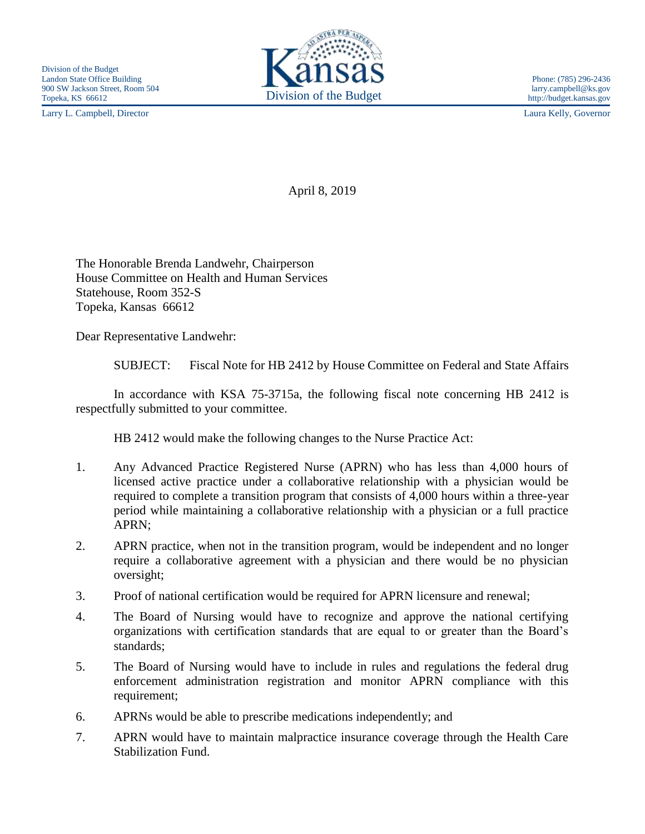Larry L. Campbell, Director Laura Kelly, Governor



April 8, 2019

The Honorable Brenda Landwehr, Chairperson House Committee on Health and Human Services Statehouse, Room 352-S Topeka, Kansas 66612

Dear Representative Landwehr:

SUBJECT: Fiscal Note for HB 2412 by House Committee on Federal and State Affairs

In accordance with KSA 75-3715a, the following fiscal note concerning HB 2412 is respectfully submitted to your committee.

HB 2412 would make the following changes to the Nurse Practice Act:

- 1. Any Advanced Practice Registered Nurse (APRN) who has less than 4,000 hours of licensed active practice under a collaborative relationship with a physician would be required to complete a transition program that consists of 4,000 hours within a three-year period while maintaining a collaborative relationship with a physician or a full practice APRN;
- 2. APRN practice, when not in the transition program, would be independent and no longer require a collaborative agreement with a physician and there would be no physician oversight;
- 3. Proof of national certification would be required for APRN licensure and renewal;
- 4. The Board of Nursing would have to recognize and approve the national certifying organizations with certification standards that are equal to or greater than the Board's standards;
- 5. The Board of Nursing would have to include in rules and regulations the federal drug enforcement administration registration and monitor APRN compliance with this requirement;
- 6. APRNs would be able to prescribe medications independently; and
- 7. APRN would have to maintain malpractice insurance coverage through the Health Care Stabilization Fund.